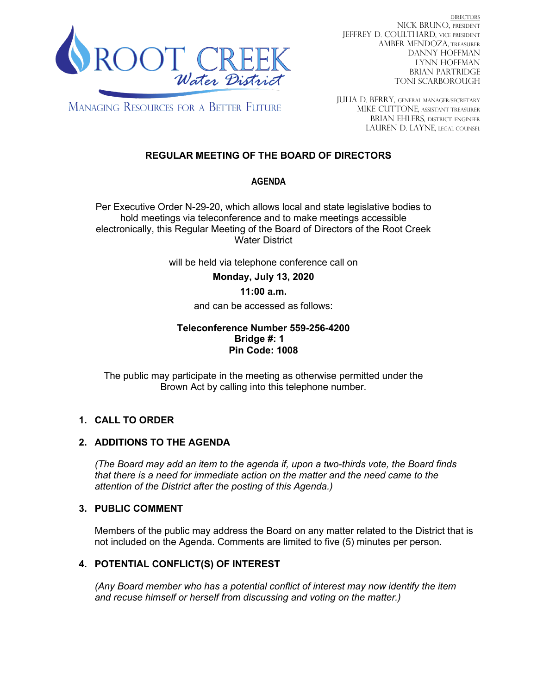

DIRECTORS NICK BRUNO, PRESIDENT JEFFREY D. COULTHARD, Vice President AMBER MENDOZA, TREASURER DANNY HOFFMAN LYNN HOFFMAN BRIAN PARTRIDGE TONI SCARBOROUGH

**MANAGING RESOURCES FOR A BETTER FUTURE** 

JULIA D. BERRY, GENERAL MANAGER/secretary MIKE CUTTONE, Assistant treasurer BRIAN EHLERS, DISTRICT ENGINEER LAUREN D. LAYNE, LEGAL COUNSEL

# **REGULAR MEETING OF THE BOARD OF DIRECTORS**

## **AGENDA**

Per Executive Order N-29-20, which allows local and state legislative bodies to hold meetings via teleconference and to make meetings accessible electronically, this Regular Meeting of the Board of Directors of the Root Creek Water District

will be held via telephone conference call on

**Monday, July 13, 2020** 

## **11:00 a.m.**

and can be accessed as follows:

#### **Teleconference Number 559-256-4200 Bridge #: 1 Pin Code: 1008**

The public may participate in the meeting as otherwise permitted under the Brown Act by calling into this telephone number.

## **1. CALL TO ORDER**

## **2. ADDITIONS TO THE AGENDA**

*(The Board may add an item to the agenda if, upon a two-thirds vote, the Board finds that there is a need for immediate action on the matter and the need came to the attention of the District after the posting of this Agenda.)*

## **3. PUBLIC COMMENT**

Members of the public may address the Board on any matter related to the District that is not included on the Agenda. Comments are limited to five (5) minutes per person.

## **4. POTENTIAL CONFLICT(S) OF INTEREST**

*(Any Board member who has a potential conflict of interest may now identify the item and recuse himself or herself from discussing and voting on the matter.)*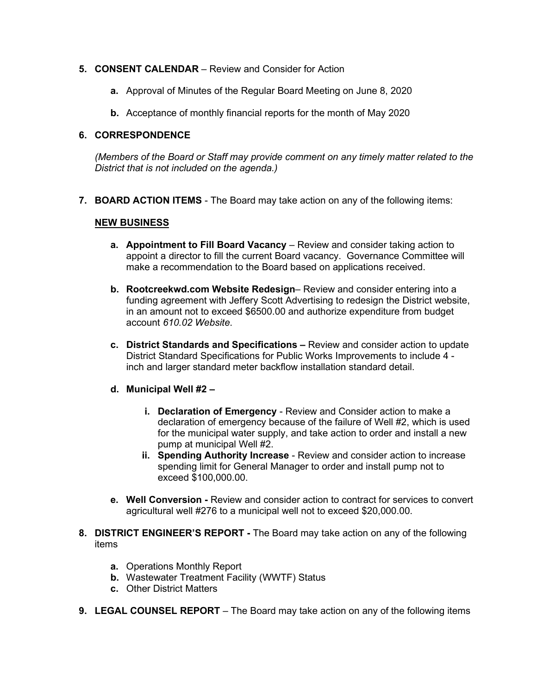#### **5. CONSENT CALENDAR** – Review and Consider for Action

- **a.** Approval of Minutes of the Regular Board Meeting on June 8, 2020
- **b.** Acceptance of monthly financial reports for the month of May 2020

#### **6. CORRESPONDENCE**

*(Members of the Board or Staff may provide comment on any timely matter related to the District that is not included on the agenda.)*

**7. BOARD ACTION ITEMS** - The Board may take action on any of the following items:

#### **NEW BUSINESS**

- **a. Appointment to Fill Board Vacancy** Review and consider taking action to appoint a director to fill the current Board vacancy. Governance Committee will make a recommendation to the Board based on applications received.
- **b. Rootcreekwd.com Website Redesign** Review and consider entering into a funding agreement with Jeffery Scott Advertising to redesign the District website, in an amount not to exceed \$6500.00 and authorize expenditure from budget account *610.02 Website*.
- **c. District Standards and Specifications –** Review and consider action to update District Standard Specifications for Public Works Improvements to include 4 inch and larger standard meter backflow installation standard detail.

## **d. Municipal Well #2 –**

- **i. Declaration of Emergency** Review and Consider action to make a declaration of emergency because of the failure of Well #2, which is used for the municipal water supply, and take action to order and install a new pump at municipal Well #2.
- **ii. Spending Authority Increase** Review and consider action to increase spending limit for General Manager to order and install pump not to exceed \$100,000.00.
- **e. Well Conversion -** Review and consider action to contract for services to convert agricultural well #276 to a municipal well not to exceed \$20,000.00.
- **8. DISTRICT ENGINEER'S REPORT -** The Board may take action on any of the following items
	- **a.** Operations Monthly Report
	- **b.** Wastewater Treatment Facility (WWTF) Status
	- **c.** Other District Matters
- **9. LEGAL COUNSEL REPORT** The Board may take action on any of the following items